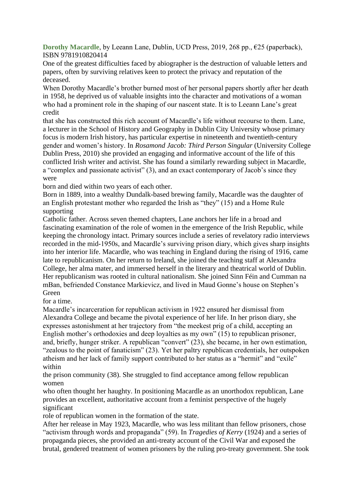**Dorothy Macardle**, by Leeann Lane, Dublin, UCD Press, 2019, 268 pp., €25 (paperback), ISBN 9781910820414

One of the greatest difficulties faced by abiographer is the destruction of valuable letters and papers, often by surviving relatives keen to protect the privacy and reputation of the deceased.

When Dorothy Macardle's brother burned most of her personal papers shortly after her death in 1958, he deprived us of valuable insights into the character and motivations of a woman who had a prominent role in the shaping of our nascent state. It is to Leeann Lane's great credit

that she has constructed this rich account of Macardle's life without recourse to them. Lane, a lecturer in the School of History and Geography in Dublin City University whose primary focus is modern Irish history, has particular expertise in nineteenth and twentieth-century gender and women's history. In *Rosamond Jacob: Third Person Singular* (University College Dublin Press, 2010) she provided an engaging and informative account of the life of this conflicted Irish writer and activist. She has found a similarly rewarding subject in Macardle, a "complex and passionate activist" (3), and an exact contemporary of Jacob's since they were

born and died within two years of each other.

Born in 1889, into a wealthy Dundalk-based brewing family, Macardle was the daughter of an English protestant mother who regarded the Irish as "they" (15) and a Home Rule supporting

Catholic father. Across seven themed chapters, Lane anchors her life in a broad and fascinating examination of the role of women in the emergence of the Irish Republic, while keeping the chronology intact. Primary sources include a series of revelatory radio interviews recorded in the mid-1950s, and Macardle's surviving prison diary, which gives sharp insights into her interior life. Macardle, who was teaching in England during the rising of 1916, came late to republicanism. On her return to Ireland, she joined the teaching staff at Alexandra College, her alma mater, and immersed herself in the literary and theatrical world of Dublin. Her republicanism was rooted in cultural nationalism. She joined Sinn Féin and Cumman na mBan, befriended Constance Markievicz, and lived in Maud Gonne's house on Stephen's Green

for a time.

Macardle's incarceration for republican activism in 1922 ensured her dismissal from Alexandra College and became the pivotal experience of her life. In her prison diary, she expresses astonishment at her trajectory from "the meekest prig of a child, accepting an English mother's orthodoxies and deep loyalties as my own" (15) to republican prisoner, and, briefly, hunger striker. A republican "convert" (23), she became, in her own estimation, "zealous to the point of fanaticism" (23). Yet her paltry republican credentials, her outspoken atheism and her lack of family support contributed to her status as a "hermit" and "exile" within

the prison community (38). She struggled to find acceptance among fellow republican women

who often thought her haughty. In positioning Macardle as an unorthodox republican, Lane provides an excellent, authoritative account from a feminist perspective of the hugely significant

role of republican women in the formation of the state.

After her release in May 1923, Macardle, who was less militant than fellow prisoners, chose "activism through words and propaganda" (59). In *Tragedies of Kerry* (1924) and a series of propaganda pieces, she provided an anti-treaty account of the Civil War and exposed the brutal, gendered treatment of women prisoners by the ruling pro-treaty government. She took